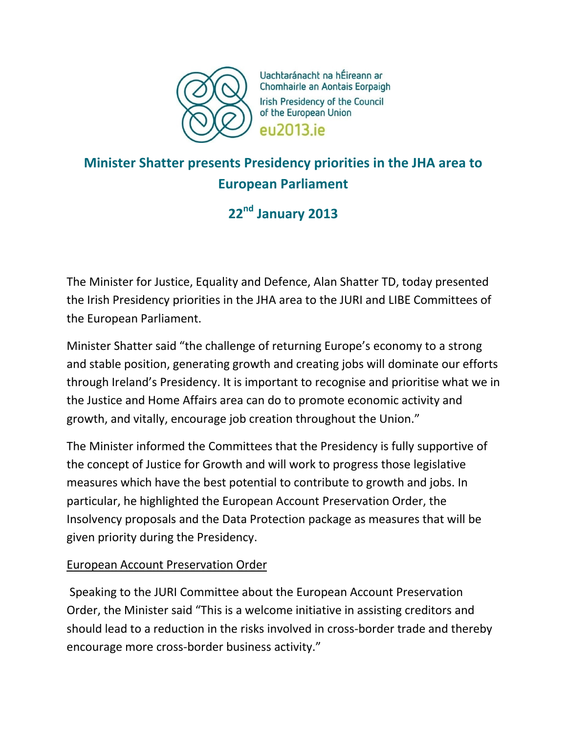

Uachtaránacht na hÉireann ar Chomhairle an Aontais Eorpaigh Irish Presidency of the Council of the European Union eu2013.ie

# **Minister Shatter presents Presidency priorities in the JHA area to European Parliament**

# **22nd January 2013**

The Minister for Justice, Equality and Defence, Alan Shatter TD, today presented the Irish Presidency priorities in the JHA area to the JURI and LIBE Committees of the European Parliament.

Minister Shatter said "the challenge of returning Europe's economy to a strong and stable position, generating growth and creating jobs will dominate our efforts through Ireland's Presidency. It is important to recognise and prioritise what we in the Justice and Home Affairs area can do to promote economic activity and growth, and vitally, encourage job creation throughout the Union."

The Minister informed the Committees that the Presidency is fully supportive of the concept of Justice for Growth and will work to progress those legislative measures which have the best potential to contribute to growth and jobs. In particular, he highlighted the European Account Preservation Order, the Insolvency proposals and the Data Protection package as measures that will be given priority during the Presidency.

## European Account Preservation Order

Speaking to the JURI Committee about the European Account Preservation Order, the Minister said "This is a welcome initiative in assisting creditors and should lead to a reduction in the risks involved in cross-border trade and thereby encourage more cross-border business activity."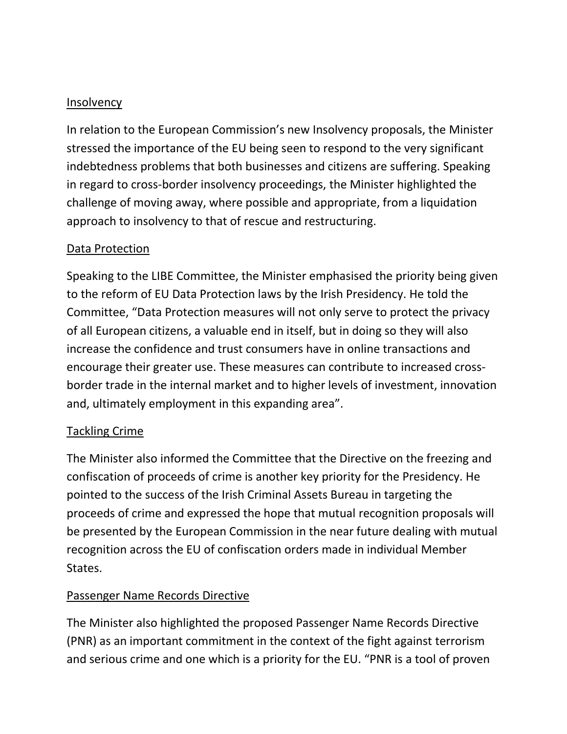#### **Insolvency**

In relation to the European Commission's new Insolvency proposals, the Minister stressed the importance of the EU being seen to respond to the very significant indebtedness problems that both businesses and citizens are suffering. Speaking in regard to cross-border insolvency proceedings, the Minister highlighted the challenge of moving away, where possible and appropriate, from a liquidation approach to insolvency to that of rescue and restructuring.

### Data Protection

Speaking to the LIBE Committee, the Minister emphasised the priority being given to the reform of EU Data Protection laws by the Irish Presidency. He told the Committee, "Data Protection measures will not only serve to protect the privacy of all European citizens, a valuable end in itself, but in doing so they will also increase the confidence and trust consumers have in online transactions and encourage their greater use. These measures can contribute to increased crossborder trade in the internal market and to higher levels of investment, innovation and, ultimately employment in this expanding area".

#### Tackling Crime

The Minister also informed the Committee that the Directive on the freezing and confiscation of proceeds of crime is another key priority for the Presidency. He pointed to the success of the Irish Criminal Assets Bureau in targeting the proceeds of crime and expressed the hope that mutual recognition proposals will be presented by the European Commission in the near future dealing with mutual recognition across the EU of confiscation orders made in individual Member States.

## Passenger Name Records Directive

The Minister also highlighted the proposed Passenger Name Records Directive (PNR) as an important commitment in the context of the fight against terrorism and serious crime and one which is a priority for the EU. "PNR is a tool of proven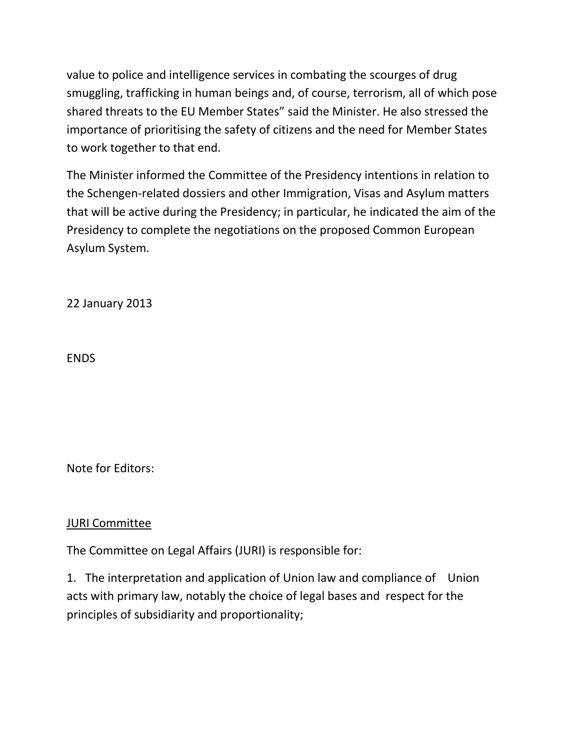value to police and intelligence services in combating the scourges of drug smuggling, trafficking in human beings and, of course, terrorism, all of which pose shared threats to the EU Member States" said the Minister. He also stressed the importance of prioritising the safety of citizens and the need for Member States to work together to that end.

The Minister informed the Committee of the Presidency intentions in relation to the Schengen-related dossiers and other Immigration, Visas and Asylum matters that will be active during the Presidency; in particular, he indicated the aim of the Presidency to complete the negotiations on the proposed Common European Asylum System.

22 January 2013

**FNDS** 

Note for Editors:

#### JURI Committee

The Committee on Legal Affairs (JURI) is responsible for:

1. The interpretation and application of Union law and compliance of Union acts with primary law, notably the choice of legal bases and respect for the principles of subsidiarity and proportionality;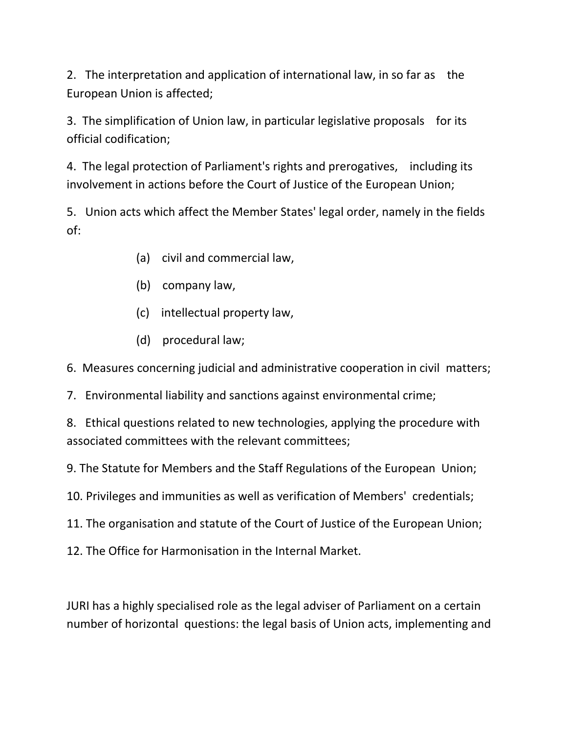2. The interpretation and application of international law, in so far as the European Union is affected;

3. The simplification of Union law, in particular legislative proposals for its official codification;

4. The legal protection of Parliament's rights and prerogatives, including its involvement in actions before the Court of Justice of the European Union;

5. Union acts which affect the Member States' legal order, namely in the fields of:

- (a) civil and commercial law,
- (b) company law,
- (c) intellectual property law,
- (d) procedural law;

6. Measures concerning judicial and administrative cooperation in civil matters;

7. Environmental liability and sanctions against environmental crime;

8. Ethical questions related to new technologies, applying the procedure with associated committees with the relevant committees;

9. The Statute for Members and the Staff Regulations of the European Union;

- 10. Privileges and immunities as well as verification of Members' credentials;
- 11. The organisation and statute of the Court of Justice of the European Union;
- 12. The Office for Harmonisation in the Internal Market.

JURI has a highly specialised role as the legal adviser of Parliament on a certain number of horizontal questions: the legal basis of Union acts, implementing and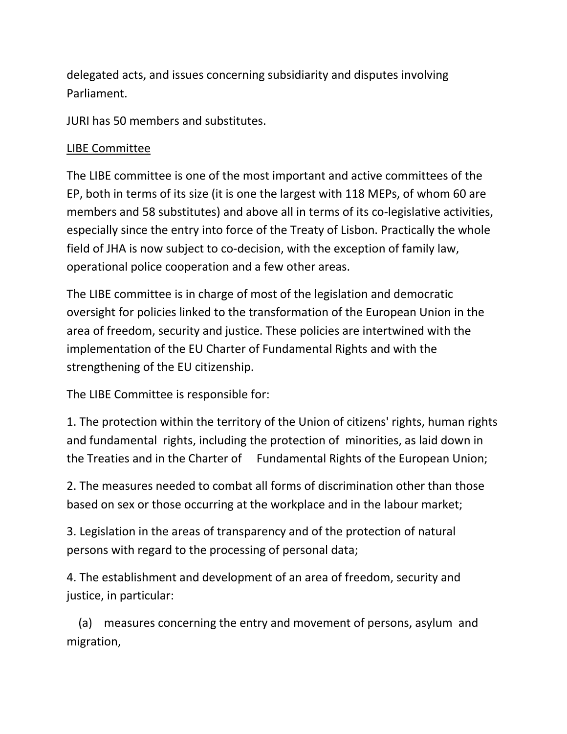delegated acts, and issues concerning subsidiarity and disputes involving Parliament.

JURI has 50 members and substitutes.

# LIBE Committee

The LIBE committee is one of the most important and active committees of the EP, both in terms of its size (it is one the largest with 118 MEPs, of whom 60 are members and 58 substitutes) and above all in terms of its co-legislative activities, especially since the entry into force of the Treaty of Lisbon. Practically the whole field of JHA is now subject to co-decision, with the exception of family law, operational police cooperation and a few other areas.

The LIBE committee is in charge of most of the legislation and democratic oversight for policies linked to the transformation of the European Union in the area of freedom, security and justice. These policies are intertwined with the implementation of the EU Charter of Fundamental Rights and with the strengthening of the EU citizenship.

The LIBE Committee is responsible for:

1. The protection within the territory of the Union of citizens' rights, human rights and fundamental rights, including the protection of minorities, as laid down in the Treaties and in the Charter of Fundamental Rights of the European Union;

2. The measures needed to combat all forms of discrimination other than those based on sex or those occurring at the workplace and in the labour market;

3. Legislation in the areas of transparency and of the protection of natural persons with regard to the processing of personal data;

4. The establishment and development of an area of freedom, security and justice, in particular:

 (a) measures concerning the entry and movement of persons, asylum and migration,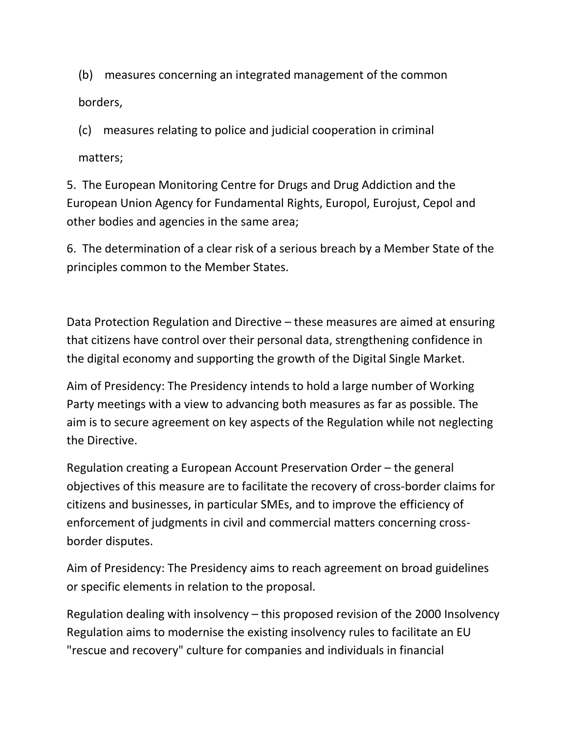(b) measures concerning an integrated management of the common borders,

(c) measures relating to police and judicial cooperation in criminal

matters;

5. The European Monitoring Centre for Drugs and Drug Addiction and the European Union Agency for Fundamental Rights, Europol, Eurojust, Cepol and other bodies and agencies in the same area;

6. The determination of a clear risk of a serious breach by a Member State of the principles common to the Member States.

Data Protection Regulation and Directive – these measures are aimed at ensuring that citizens have control over their personal data, strengthening confidence in the digital economy and supporting the growth of the Digital Single Market.

Aim of Presidency: The Presidency intends to hold a large number of Working Party meetings with a view to advancing both measures as far as possible. The aim is to secure agreement on key aspects of the Regulation while not neglecting the Directive.

Regulation creating a European Account Preservation Order – the general objectives of this measure are to facilitate the recovery of cross-border claims for citizens and businesses, in particular SMEs, and to improve the efficiency of enforcement of judgments in civil and commercial matters concerning crossborder disputes.

Aim of Presidency: The Presidency aims to reach agreement on broad guidelines or specific elements in relation to the proposal.

Regulation dealing with insolvency – this proposed revision of the 2000 Insolvency Regulation aims to modernise the existing insolvency rules to facilitate an EU "rescue and recovery" culture for companies and individuals in financial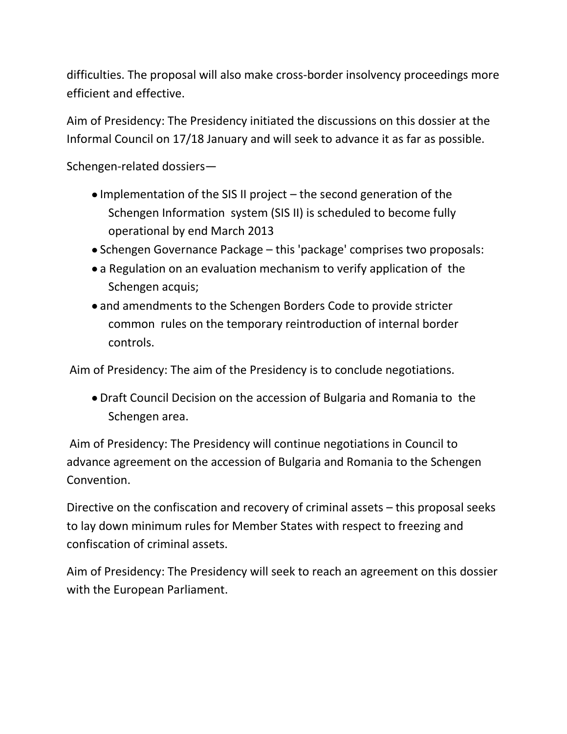difficulties. The proposal will also make cross-border insolvency proceedings more efficient and effective.

Aim of Presidency: The Presidency initiated the discussions on this dossier at the Informal Council on 17/18 January and will seek to advance it as far as possible.

Schengen-related dossiers—

- $\bullet$  Implementation of the SIS II project the second generation of the Schengen Information system (SIS II) is scheduled to become fully operational by end March 2013
- Schengen Governance Package this 'package' comprises two proposals:
- a Regulation on an evaluation mechanism to verify application of the Schengen acquis;
- and amendments to the Schengen Borders Code to provide stricter common rules on the temporary reintroduction of internal border controls.

Aim of Presidency: The aim of the Presidency is to conclude negotiations.

Draft Council Decision on the accession of Bulgaria and Romania to the Schengen area.

Aim of Presidency: The Presidency will continue negotiations in Council to advance agreement on the accession of Bulgaria and Romania to the Schengen Convention.

Directive on the confiscation and recovery of criminal assets – this proposal seeks to lay down minimum rules for Member States with respect to freezing and confiscation of criminal assets.

Aim of Presidency: The Presidency will seek to reach an agreement on this dossier with the European Parliament.